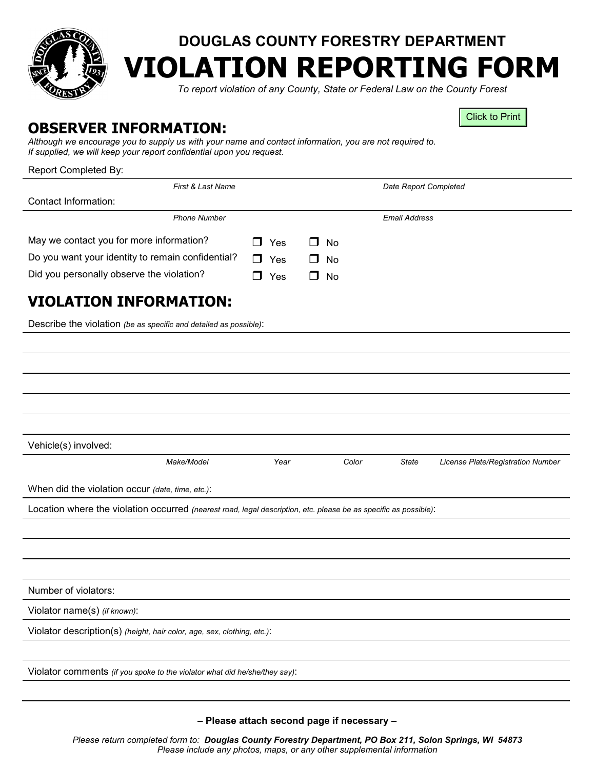

## **DOUGLAS COUNTY FORESTRY DEPARTMENT VIOLATION REPORTING FORM**

*To report violation of any County, State or Federal Law on the County Forest*

Click to Print

## **OBSERVER INFORMATION:**

*Although we encourage you to supply us with your name and contact information, you are not required to. If supplied, we will keep your report confidential upon you request.*

| Report Completed By: |  |  |
|----------------------|--|--|
|                      |  |  |

| Report Completed By:                                                                                             |        |            |           |                       |                                   |
|------------------------------------------------------------------------------------------------------------------|--------|------------|-----------|-----------------------|-----------------------------------|
| First & Last Name                                                                                                |        |            |           | Date Report Completed |                                   |
| Contact Information:                                                                                             |        |            |           |                       |                                   |
| <b>Phone Number</b>                                                                                              |        |            |           | <b>Email Address</b>  |                                   |
| May we contact you for more information?                                                                         |        | Yes        | <b>No</b> |                       |                                   |
| Do you want your identity to remain confidential?                                                                | $\Box$ | Yes        | <b>No</b> |                       |                                   |
| Did you personally observe the violation?                                                                        |        | $\Box$ Yes | <b>No</b> |                       |                                   |
| <b>VIOLATION INFORMATION:</b>                                                                                    |        |            |           |                       |                                   |
| Describe the violation (be as specific and detailed as possible):                                                |        |            |           |                       |                                   |
|                                                                                                                  |        |            |           |                       |                                   |
|                                                                                                                  |        |            |           |                       |                                   |
|                                                                                                                  |        |            |           |                       |                                   |
|                                                                                                                  |        |            |           |                       |                                   |
|                                                                                                                  |        |            |           |                       |                                   |
| Vehicle(s) involved:                                                                                             |        |            |           |                       |                                   |
| Make/Model                                                                                                       |        | Year       | Color     | State                 | License Plate/Registration Number |
| When did the violation occur (date, time, etc.):                                                                 |        |            |           |                       |                                   |
| Location where the violation occurred (nearest road, legal description, etc. please be as specific as possible): |        |            |           |                       |                                   |
|                                                                                                                  |        |            |           |                       |                                   |
|                                                                                                                  |        |            |           |                       |                                   |
|                                                                                                                  |        |            |           |                       |                                   |
|                                                                                                                  |        |            |           |                       |                                   |
| Number of violators:                                                                                             |        |            |           |                       |                                   |
| Violator name(s) (if known):                                                                                     |        |            |           |                       |                                   |
| Violator description(s) (height, hair color, age, sex, clothing, etc.):                                          |        |            |           |                       |                                   |
|                                                                                                                  |        |            |           |                       |                                   |
| Violator comments (if you spoke to the violator what did he/she/they say):                                       |        |            |           |                       |                                   |